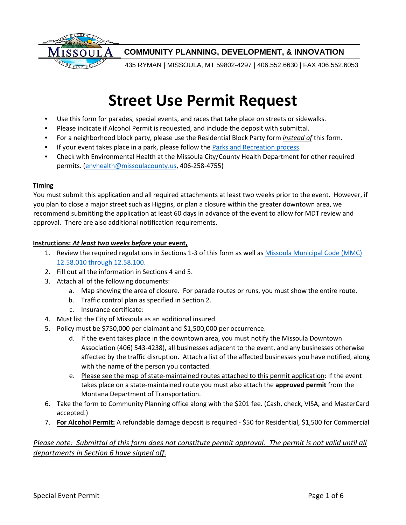

## **COMMUNITY PLANNING, DEVELOPMENT, & INNOVATION**

435 RYMAN | MISSOULA, MT 59802-4297 | 406.552.6630 | FAX 406.552.6053

# **Street Use Permit Request**

- Use this form for parades, special events, and races that take place on streets or sidewalks.
- Please indicate if Alcohol Permit is requested, and include the deposit with submittal.
- For a neighborhood block party, please use the Residential Block Party form *instead of* this form.
- If your event takes place in a park, please follow the [Parks and Recreation process.](http://www.ci.missoula.mt.us/313/Special-Events)
- Check with Environmental Health at the Missoula City/County Health Department for other required permits. (envhealth@missoulacounty.us, 406-258-4755)

#### **Timing**

You must submit this application and all required attachments at least two weeks prior to the event. However, if you plan to close a major street such as Higgins, or plan a closure within the greater downtown area, we recommend submitting the application at least 60 days in advance of the event to allow for MDT review and approval. There are also additional notification requirements.

#### **Instructions:** *At least two weeks before* **your event,**

- 1. Review the required regulations in Sections 1-3 of this form as well [as Missoula Municipal Code \(MMC\)](http://www.ci.missoula.mt.us/DocumentCenter/Home/View/1032#Chapter_12_58) [12.58.010 through 12.58.100.](http://www.ci.missoula.mt.us/DocumentCenter/Home/View/1032#Chapter_12_58)
- 2. Fill out all the information in Sections 4 and 5.
- 3. Attach all of the following documents:
	- a. Map showing the area of closure. For parade routes or runs, you must show the entire route.
	- b. Traffic control plan as specified in Section 2.
	- c. Insurance certificate:
- 4. Must list the City of Missoula as an additional insured.
- 5. Policy must be \$750,000 per claimant and \$1,500,000 per occurrence.
	- d. If the event takes place in the downtown area, you must notify the Missoula Downtown Association (406) 543-4238), all businesses adjacent to the event, and any businesses otherwise affected by the traffic disruption. Attach a list of the affected businesses you have notified, along with the name of the person you contacted.
	- e. Please see the map of state-maintained routes attached to this permit application: If the event takes place on a state-maintained route you must also attach the **approved permit** from the Montana Department of Transportation.
- 6. Take the form to Community Planning office along with the \$201 fee. (Cash, check, VISA, and MasterCard accepted.)
- 7. **For Alcohol Permit:** A refundable damage deposit is required \$50 for Residential, \$1,500 for Commercial

## *Please note: Submittal of this form does not constitute permit approval. The permit is not valid until all departments in Section 6 have signed off.*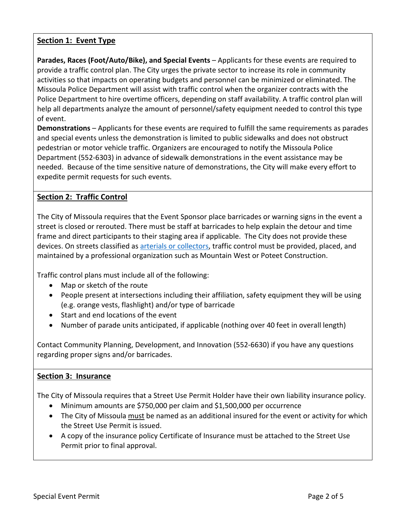## **Section 1: Event Type**

**Parades, Races (Foot/Auto/Bike), and Special Events** – Applicants for these events are required to provide a traffic control plan. The City urges the private sector to increase its role in community activities so that impacts on operating budgets and personnel can be minimized or eliminated. The Missoula Police Department will assist with traffic control when the organizer contracts with the Police Department to hire overtime officers, depending on staff availability. A traffic control plan will help all departments analyze the amount of personnel/safety equipment needed to control this type of event.

**Demonstrations** – Applicants for these events are required to fulfill the same requirements as parades and special events unless the demonstration is limited to public sidewalks and does not obstruct pedestrian or motor vehicle traffic. Organizers are encouraged to notify the Missoula Police Department (552-6303) in advance of sidewalk demonstrations in the event assistance may be needed. Because of the time sensitive nature of demonstrations, the City will make every effort to expedite permit requests for such events.

## **Section 2: Traffic Control**

The City of Missoula requires that the Event Sponsor place barricades or warning signs in the event a street is closed or rerouted. There must be staff at barricades to help explain the detour and time frame and direct participants to their staging area if applicable. The City does not provide these devices. On streets classified as [arterials or collectors,](http://www.ci.missoula.mt.us/DocumentCenter/Home/View/18782) traffic control must be provided, placed, and maintained by a professional organization such as Mountain West or Poteet Construction.

Traffic control plans must include all of the following:

- Map or sketch of the route
- People present at intersections including their affiliation, safety equipment they will be using (e.g. orange vests, flashlight) and/or type of barricade
- Start and end locations of the event
- Number of parade units anticipated, if applicable (nothing over 40 feet in overall length)

Contact Community Planning, Development, and Innovation (552-6630) if you have any questions regarding proper signs and/or barricades.

## **Section 3: Insurance**

The City of Missoula requires that a Street Use Permit Holder have their own liability insurance policy.

- Minimum amounts are \$750,000 per claim and \$1,500,000 per occurrence
- The City of Missoula must be named as an additional insured for the event or activity for which the Street Use Permit is issued.
- A copy of the insurance policy Certificate of Insurance must be attached to the Street Use Permit prior to final approval.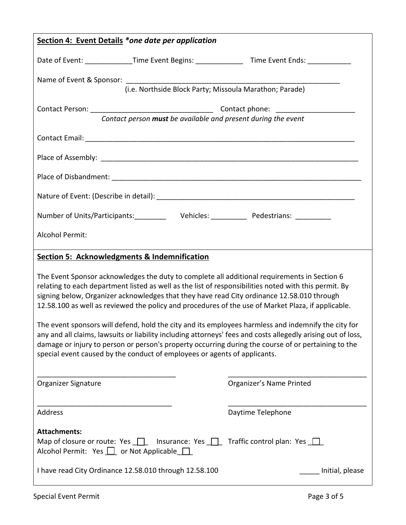| Section 4: Event Details *one date per application                                                                                                                                                                                                                                                                                                                                                        |                                                                                                                                                   |                                                                                                    |  |
|-----------------------------------------------------------------------------------------------------------------------------------------------------------------------------------------------------------------------------------------------------------------------------------------------------------------------------------------------------------------------------------------------------------|---------------------------------------------------------------------------------------------------------------------------------------------------|----------------------------------------------------------------------------------------------------|--|
|                                                                                                                                                                                                                                                                                                                                                                                                           |                                                                                                                                                   | Date of Event: ______________Time Event Begins: __________________Time Event Ends: _______________ |  |
|                                                                                                                                                                                                                                                                                                                                                                                                           |                                                                                                                                                   |                                                                                                    |  |
|                                                                                                                                                                                                                                                                                                                                                                                                           | Name of Event & Sponsor: [i.e. Northside Block Party; Missoula Marathon; Parade)                                                                  |                                                                                                    |  |
|                                                                                                                                                                                                                                                                                                                                                                                                           |                                                                                                                                                   |                                                                                                    |  |
|                                                                                                                                                                                                                                                                                                                                                                                                           | Contact person must be available and present during the event                                                                                     |                                                                                                    |  |
|                                                                                                                                                                                                                                                                                                                                                                                                           |                                                                                                                                                   |                                                                                                    |  |
|                                                                                                                                                                                                                                                                                                                                                                                                           |                                                                                                                                                   |                                                                                                    |  |
|                                                                                                                                                                                                                                                                                                                                                                                                           |                                                                                                                                                   |                                                                                                    |  |
|                                                                                                                                                                                                                                                                                                                                                                                                           |                                                                                                                                                   |                                                                                                    |  |
|                                                                                                                                                                                                                                                                                                                                                                                                           |                                                                                                                                                   |                                                                                                    |  |
| <b>Alcohol Permit:</b>                                                                                                                                                                                                                                                                                                                                                                                    |                                                                                                                                                   |                                                                                                    |  |
| <b>Section 5: Acknowledgments &amp; Indemnification</b>                                                                                                                                                                                                                                                                                                                                                   |                                                                                                                                                   |                                                                                                    |  |
| The Event Sponsor acknowledges the duty to complete all additional requirements in Section 6<br>relating to each department listed as well as the list of responsibilities noted with this permit. By<br>signing below, Organizer acknowledges that they have read City ordinance 12.58.010 through<br>12.58.100 as well as reviewed the policy and procedures of the use of Market Plaza, if applicable. |                                                                                                                                                   |                                                                                                    |  |
| The event sponsors will defend, hold the city and its employees harmless and indemnify the city for<br>any and all claims, lawsuits or liability including attorneys' fees and costs allegedly arising out of loss,<br>damage or injury to person or person's property occurring during the course of or pertaining to the<br>special event caused by the conduct of employees or agents of applicants.   |                                                                                                                                                   |                                                                                                    |  |
| Organizer Signature                                                                                                                                                                                                                                                                                                                                                                                       |                                                                                                                                                   | Organizer's Name Printed                                                                           |  |
| Address                                                                                                                                                                                                                                                                                                                                                                                                   |                                                                                                                                                   | Daytime Telephone                                                                                  |  |
| <b>Attachments:</b>                                                                                                                                                                                                                                                                                                                                                                                       | Map of closure or route: Yes $\Box$ Insurance: Yes $\Box$ Traffic control plan: Yes $\Box$<br>Alcohol Permit: Yes $\Box$ or Not Applicable $\Box$ |                                                                                                    |  |
|                                                                                                                                                                                                                                                                                                                                                                                                           | I have read City Ordinance 12.58.010 through 12.58.100                                                                                            | Initial, please                                                                                    |  |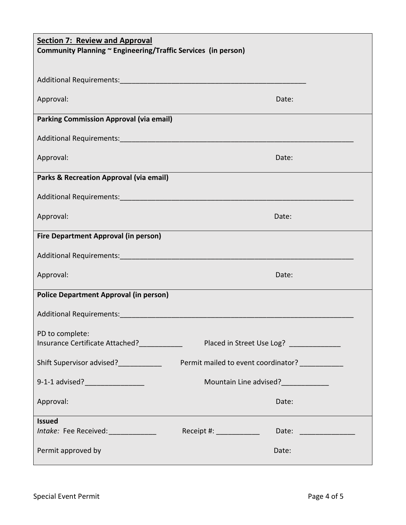| <b>Section 7: Review and Approval</b><br>Community Planning ~ Engineering/Traffic Services (in person) |                                                    |  |  |
|--------------------------------------------------------------------------------------------------------|----------------------------------------------------|--|--|
|                                                                                                        |                                                    |  |  |
| Additional Requirements: Additional Requirements:                                                      |                                                    |  |  |
| Approval:                                                                                              | Date:                                              |  |  |
| <b>Parking Commission Approval (via email)</b>                                                         |                                                    |  |  |
|                                                                                                        |                                                    |  |  |
| Approval:                                                                                              | Date:                                              |  |  |
| <b>Parks &amp; Recreation Approval (via email)</b>                                                     |                                                    |  |  |
|                                                                                                        |                                                    |  |  |
| Approval:                                                                                              | Date:                                              |  |  |
| <b>Fire Department Approval (in person)</b>                                                            |                                                    |  |  |
|                                                                                                        |                                                    |  |  |
| Approval:                                                                                              | Date:                                              |  |  |
| <b>Police Department Approval (in person)</b>                                                          |                                                    |  |  |
| Additional Requirements:                                                                               |                                                    |  |  |
| PD to complete:<br>Insurance Certificate Attached?____________                                         | Placed in Street Use Log? _____________            |  |  |
| Shift Supervisor advised?<br><u> </u>                                                                  | Permit mailed to event coordinator? __________     |  |  |
| 9-1-1 advised?__________________                                                                       | Mountain Line advised?<br><u> </u>                 |  |  |
| Approval:                                                                                              | Date:                                              |  |  |
| <b>Issued</b><br>Intake: Fee Received: _______________                                                 | Receipt #: _____________<br>Date: ________________ |  |  |
| Permit approved by                                                                                     | Date:                                              |  |  |